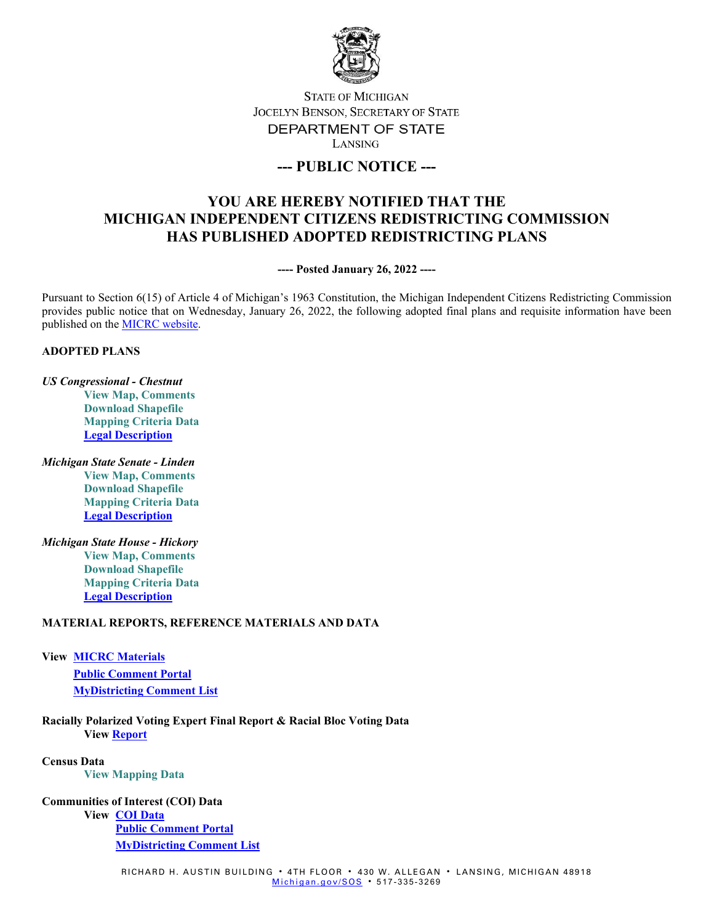

## **STATE OF MICHIGAN** JOCELYN BENSON, SECRETARY OF STATE DEPARTMENT OF STATE LANSING

## **--- PUBLIC NOTICE ---**

# **YOU ARE HEREBY NOTIFIED THAT THE MICHIGAN INDEPENDENT CITIZENS REDISTRICTING COMMISSION HAS PUBLISHED ADOPTED REDISTRICTING PLANS**

**---- Posted January 26, 2022 ----**

Pursuant to Section 6(15) of Article 4 of Michigan's 1963 Constitution, the Michigan Independent Citizens Redistricting Commission provides public notice that on Wednesday, January 26, 2022, the following adopted final plans and requisite information have been published on th[e MICRC website.](https://www.michigan.gov/micrc)

#### **ADOPTED PLANS**

- *US Congressional - Chestnut* **[View Map, Comments](https://michigan.mydistricting.com/legdistricting/comments/plan/279/23) [Download Shapefile](https://www.michigan.gov/documents/micrc/MICRC_Chestnut_740296_7.zip) [Mapping Criteria Data](https://www.michigan.gov/documents/micrc/MICRC_Chestnut_Criteria_Data_740307_7.zip) [Legal Description](https://michigan.maps.arcgis.com/apps/webappviewer/index.html?id=5e383a06df1d4c44a222a8d442534ebb)**
- *Michigan State Senate - Linden* **[View Map, Comments](https://michigan.mydistricting.com/legdistricting/comments/plan/281/23) [Download Shapefile](https://www.michigan.gov/documents/micrc/MICRC_Linden_740487_7.zip) [Mapping Criteria Data](https://www.michigan.gov/documents/micrc/MICRC_Linden_Criteria_740488_7.zip) [Legal Description](https://michigan.maps.arcgis.com/apps/webappviewer/index.html?id=5e383a06df1d4c44a222a8d442534ebb)**
- *Michigan State House - Hickory* **[View Map, Comments](https://michigan.mydistricting.com/legdistricting/comments/plan/280/23) [Download Shapefile](https://www.michigan.gov/documents/micrc/MICRC_Hickory_740483_7.zip) [Mapping Criteria Data](https://www.michigan.gov/documents/micrc/MICRC_Hickory_Criteria_740484_7.zip) [Legal Description](https://michigan.maps.arcgis.com/apps/webappviewer/index.html?id=5e383a06df1d4c44a222a8d442534ebb)**

### **MATERIAL REPORTS, REFERENCE MATERIALS AND DATA**

**View [MICRC Materials](https://www.michigan.gov/micrc/0,10083,7-418-106525---,00.html) [Public Comment Portal](https://www.michigan-mapping.org/) [MyDistricting Comment List](https://michigan.mydistricting.com/legdistricting/michigan/comment_links)**

**Racially Polarized Voting Expert Final Report & Racial Bloc Voting Data View [Report](https://www.michigan.gov/documents/micrc/Handley_Final__Report_to_MICRC_with_Appendices_744723_7.pdf)**

**Census Data [View Mapping Data](https://www.michigan.gov/micrc/0,10083,7-418-107190_108508---,00.html)**

#### **Communities of Interest (COI) Data**

**View [COI Data](https://www.michigan.gov/micrc/0,10083,7-418-106530---,00.html) [Public Comment Portal](https://www.michigan-mapping.org/) [MyDistricting Comment List](https://michigan.mydistricting.com/legdistricting/michigan/comment_links)**